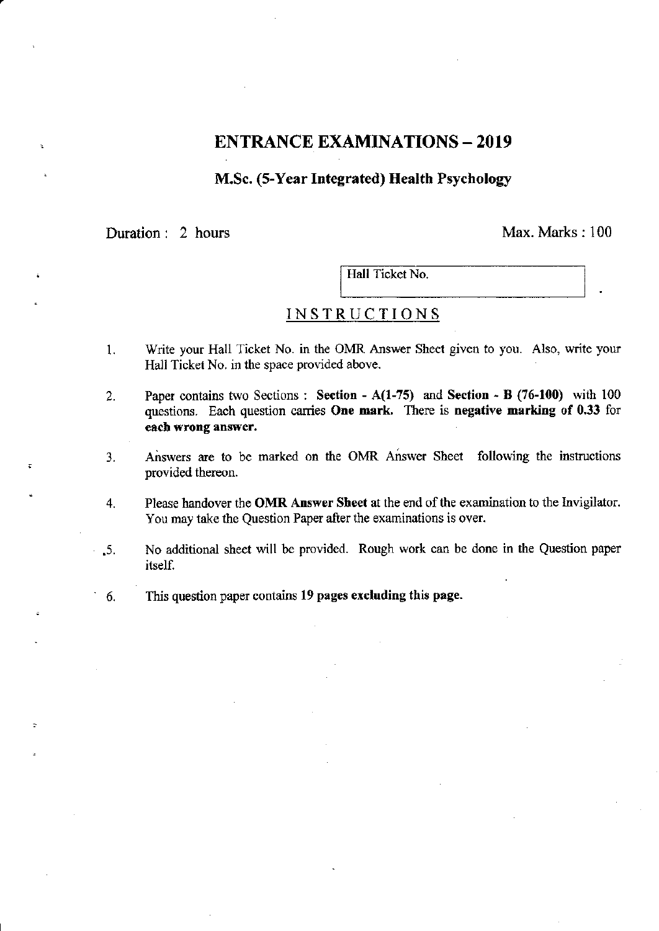# ENTRANCE EXAMINATIONS - 2019

### M.Sc. (5-Year Integrated) Health Psychology

# Duration: 2 hours Max. Marks: 100

~-

,

 $\overline{\phantom{a}}$ Hall Ticket No. I L-. \_\_\_\_ ------" •

## INSTRUCTIONS

- 1. Write your Hall Ticket No. in the OMR Answer Sheet given to you. Also, write your Hall Ticket No. in the space provided above.
- 2. Paper contains two Sections: Section A(I-7S) and Section B (76-100) with 100 questions. Each question carries One mark. There is negative marking of 0.33 for each wrong answer.
- 3. Answers are to be marked on the OMR Answer Sheet following the instructions provided thereon.
- 4. Please handover the OMR Answer Sheet at the end of the examination to the Invigilator. You may take the Question Paper after the examinations is over .
- 5. No additional sheet will be provided. Rough work can be done in the Question paper itself.
- 6. Ibis question paper contains 19 pages excluding this page.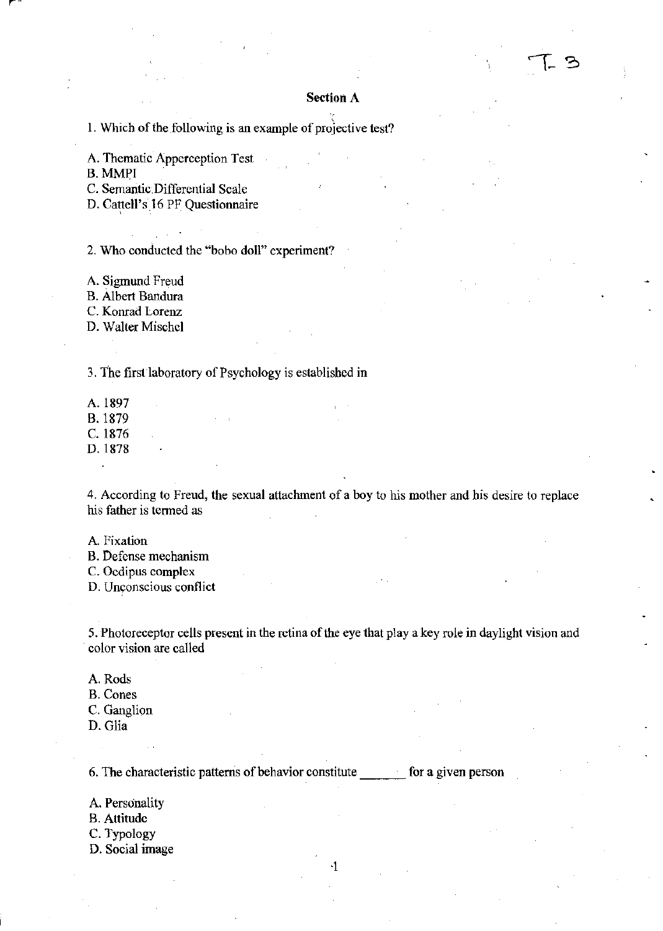## **Section A**

1. Which of the following is an example of projective test?

A. Thematic Apperception Test

B. MMPI

c. Semantic, Differential Scale

D. Cattell's 16 PF Questionnaire

2. Who conducted the "bobo doll" experiment?

A. Sigmund Freud

B. Albert Bandura

C. Konrad Lorenz

D. Walter Mischel

3. The first laboratory of Psychology is established in

A.1897 B. 1879 C. 1876

D.1878

4. According to Freud, the sexual attachment of a boy to his mother and his desire to replace his father is termed as

A Fixation

B. Defense mechanism

C. Oedipus complex

D. Unconscious conflict

5. Photoreceptor cells present in the retina of the eye that playa key role in daylight vision and color vision are called

.j

A. Rods

- B. Cones
- C. Ganglion
- D. Glia

6. The characteristic patterns of behavior constitute \_\_\_ for a given person

A. Personality

- B. Attitude
- C. Typology
- D. Social image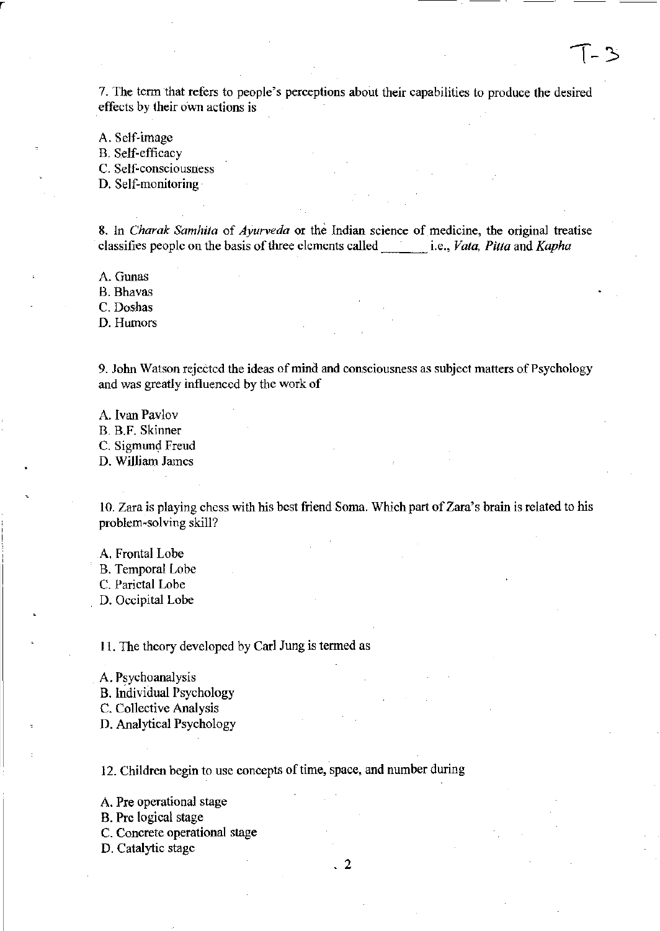7. The term that refers to people's perceptions about their capabilities to produce the desired effects by their o'wn actions is

A. Self-image B. Self-efficacy

r

C. Self-consciousness

D. Self-monitoring

8. In *Charak Samhita* of *Ayurveda* or the Indian science of medicine, the original treatise classifies people on the basis of three clements called i.e., *Vala, Pitta* and *Kapha* 

A. Gunas

B. Bhavas

C. Doshas

D. Humors

9. John Watson rejected the ideas of mind and consciousness as subject matters of Psychology and was greatly influenced by the work of

A. Ivan Pavlov B. B.F. Skinner C. Sigmund Freud D. William James

10. Zara is playing chess with his best friend Soma. Which part of Zara's brain is related to his problem-solving skill?

A. Frontal Lobe

B. Temporal Lobe

C. Parietal Lobe

D. Occipital Lobe

11. The theory developed by Carl Jung is termed as

A. Psychoanalysis

B. Individual Psychology

C. Collective Analysis

D. Analytical Psychology

12. Children begin to use concepts of time, space, and number during

A. Pre operational stage

B. Pre logical stage

C. Concrete operational stage

D. Catalytic stage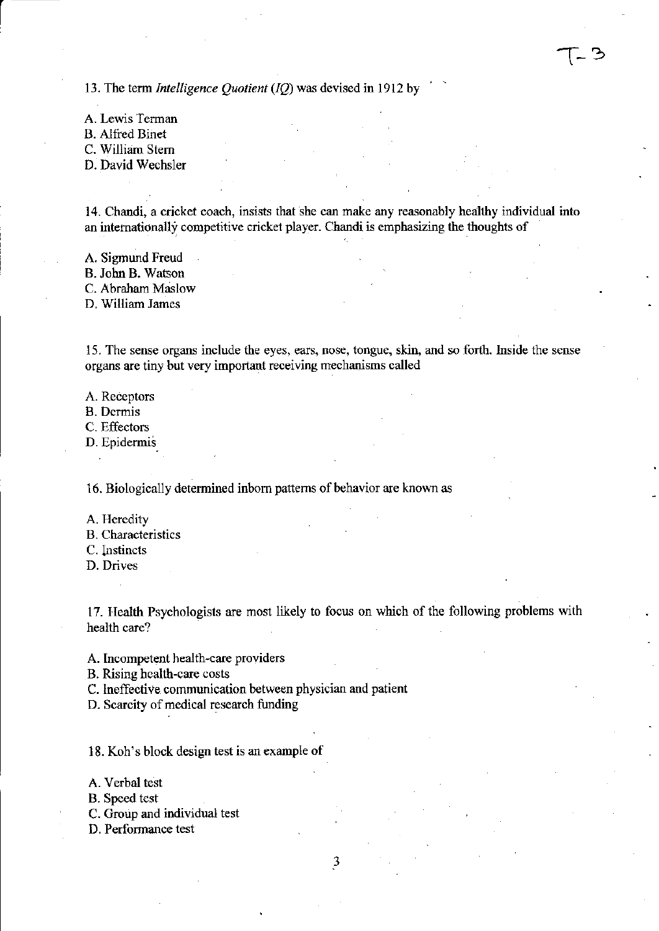13. The term *Intelligence Quotient (IQ)* was devised in 1912 by

A. Lewis Terman B. Alfred Binet C. William Stem D. David Wechsler

r

14. Chandi, a cricket coach, insists that she can make any reasonably healthy individual into an internationally competitive cricket player. Chandi is emphasizing the thoughts of

A. Sigmund Freud B. John B. Watson C. Abraham Maslow

D, William James

IS. The sense organs include the eyes, ears, nose, tongue, skin, and so forth. Inside the sense organs are tiny but very important receiving mechanisms called

A. Receptors

B. Dermis

C. Effectors

D. Epidermis

16. Biologically determined inborn patterns of behavior are known as

A. Heredity

- B. Characteristics
- C. Instincts

D. Drives

17. Health Psychologists are most likely to focus on which of the following problems with health care?

3

A. Incompetent health-care providers

B. Rising health-care costs

C. Ineffective communication between physician and patient

D. Scarcity of medical research funding

18. Koh's block design test is an example of

A. Verbal test

B. Speed tcst

C. Group and individual test

D. Performance test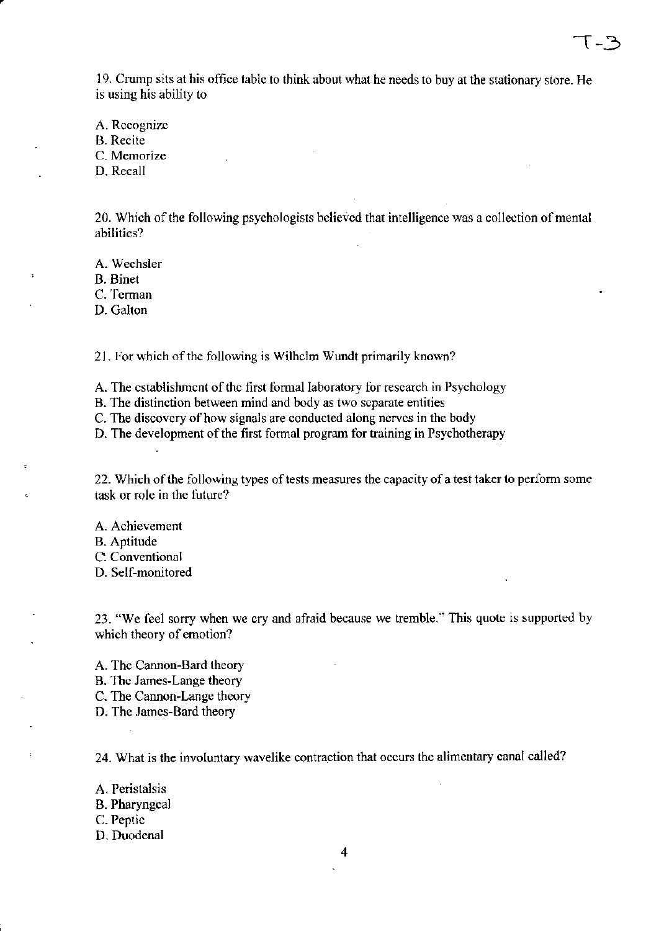19. Crump sits at his office table to think about what he needs to buy at the stationary store. He is using his ability to

A. Recognize B. Recite C. Memorize D. Recall

20. Which of the following psychologists believed that intelligence was a collection of mental abilities?

A. Wechsler

B. Binet

C. Terman

D. Galton

21. For which of the following is Wilhelm Wundt primarily known?

A. The establishment of the first formal laboratory for research in Psychology

B. The distinction between mind and body as two separate entities

C. The discovery of how signals are conducted along nerves in the body

D. The development of the first formal program for training in Psychotherapy

22. Which of the following types of tests measures the capacity of a test taker to perform some task or role in the future?

A. Achievement B. Aptitude C. Conventional D. Self-monitored

23. "We feel sorry when we cry and afraid because we tremble." This quote is supported by which theory of emotion?

A. The Cannon-Bard theory B. The James-Lange theory C. The Cannon-Lange theory D. The James-Bard theory

24. What is the involuntary wavelike contraction that occurs the alimentary canal called?

A. Peristalsis

B. Pharyngeal

C. Peptic

D. Duodenal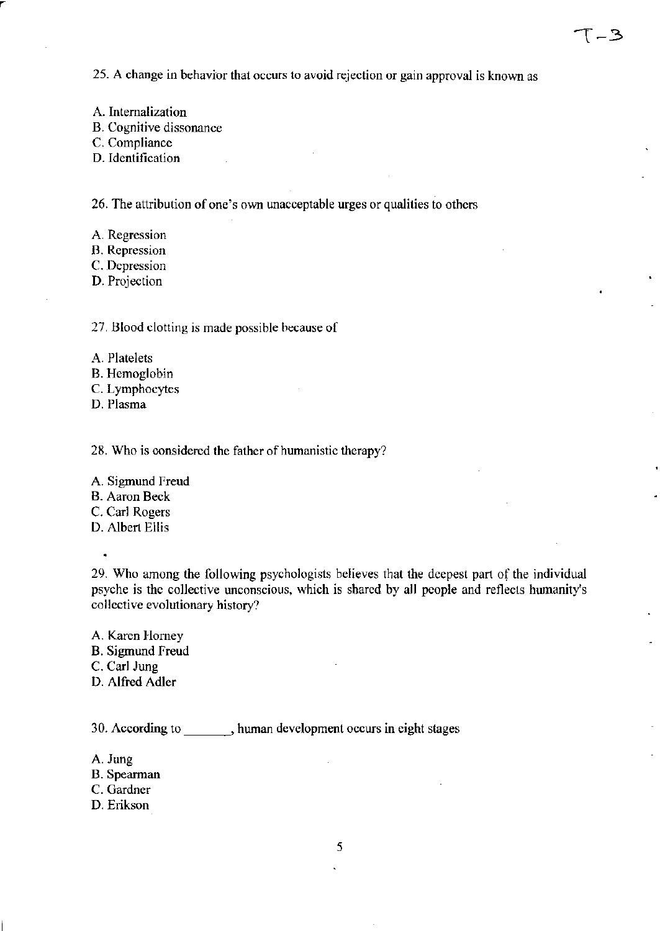25. A change in behavior that occurs to avoid rejection or gain approval is known as

A. Internalization

B. Cognitive dissonance

C. Compliance

D. Identification

26. The attribution of one's own unacceptable urges or qualities to others

A. Regression

B. Repression

C. Depression

D. Projection

27. Blood clotting is made possible because of

- A. Platelets
- B. Hemoglobin

C. Lymphocytes

D. Plasma

28. Who is considered the father of humanistic therapy?

A. Sigmund Freud

B. Aaron Beck

C. Carl Rogers

D. Albert Ellis

29. Who among the following psychologists believes that the deepest part of the individual psyche is the collective unconscious, which is shared by all people and reflects humanity's collective evolutionary history?

A. Karen Horney B. Sigmund freud C. Carl Jung D. Alfred Adler

30. According to human development occurs in eight stages

- A. Jung
- B. Spearman
- C. Gardner
- D. Erikson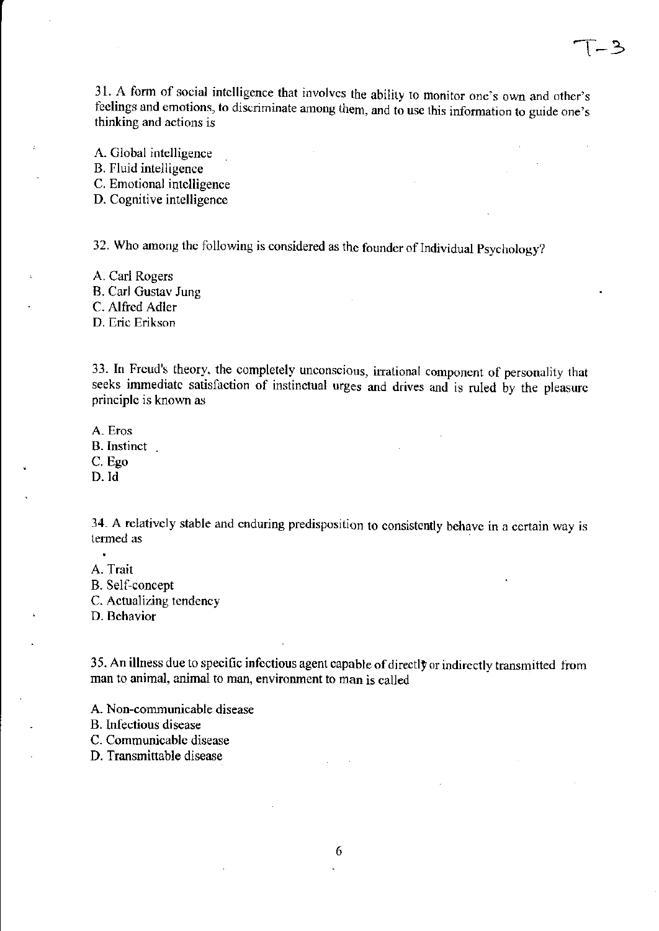31. A form of social intelligence that involves the ability to monitor one's own and other's feelings and emotions, to discriminate among them, and to use this infonnation to guide one's thinking and actions is

A. Global intelligence

B. Fluid intelligence

C. Emotional intelligence

D. Cognitive intelligence

32. Who among the following is considered as the founder of Individual Psychology?

A. Carl Rogers B. Carl Gustav Jung C. Alfred Adler D. Eric Erikson

33. In Freud's theory, the completely unconscious, irrational component of personality that seeks immediate satisfaction of instinctual urges and drives and is ruled by the pleasure principle is known as

A. Eros

B. Instinct.

C. Ego

D.ld

34. A relatively stable and enduring predisposition to consistently behave in a certain way is termed as  $\blacksquare$  . The set of  $\blacksquare$  as  $\blacksquare$  . The set of  $\blacksquare$  as  $\blacksquare$  . The set of  $\blacksquare$  as  $\blacksquare$  as  $\blacksquare$  as  $\blacksquare$  as  $\blacksquare$  as  $\blacksquare$  as  $\blacksquare$  as  $\blacksquare$  as  $\blacksquare$  as  $\blacksquare$  as  $\blacksquare$  as  $\blacksquare$  as  $\blacksquare$  as

A. Trait

 $\bullet$ 

B. Self-concept

C. Actualizing tendency

D. Behavior

35. An illness due to specific infectious agent capable of directly or indirectly transmitted from man to animal, animal to man, environment to man is called

A. Non-communicable disease

B. Infectious disease

C. Communicable disease

D. Transmittable disease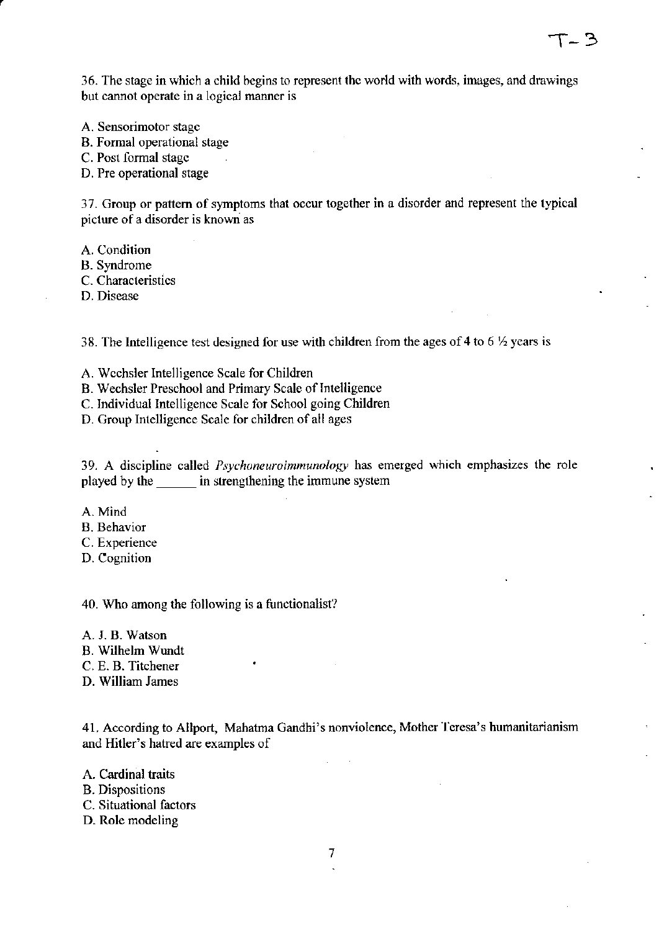36. The stage in which a child begins to represent the world with words, images, and drawings but cannot operate in a logical manner is

T- 3

A. Sensorimotor stage

B. Formal operational stage

C. Post formal stage

D. Pre operational stage

37. Group or pattern of symptoms that occur together in a disorder and represent the typical picture of a disorder is known as

A. Condition

B. Syndrome

C. Characteristics

D. Disease

38. The Intelligence test designed for use with children from the ages of 4 to 6  $\frac{1}{2}$  years is

A. Wechsler Intelligence Scale for Children

B. Wechsler Preschool and Primary Scale of Intelligence

C. Individual Intelligence Scale for School going Children

D. Group Intelligence Scale for children of all ages

39. A discipline called *Psychoneuroimmunology* has emerged which emphasizes the role played by the instrengthening the immune system

A. Mind

B. Behavior

C. Experience

D. Cognition

40. Who among the following is a functionalist?

A. J. B. Watson B. Wilhelm Wund! C. E. B. Titchener D. William James

41. According to Allport, Mahatma Gandhi's nonviolence, Mother Teresa's humanitarianism and Hitler's hatred are examples of

A. Cardinal traits B. Dispositions C. Situational factors D. Role modeling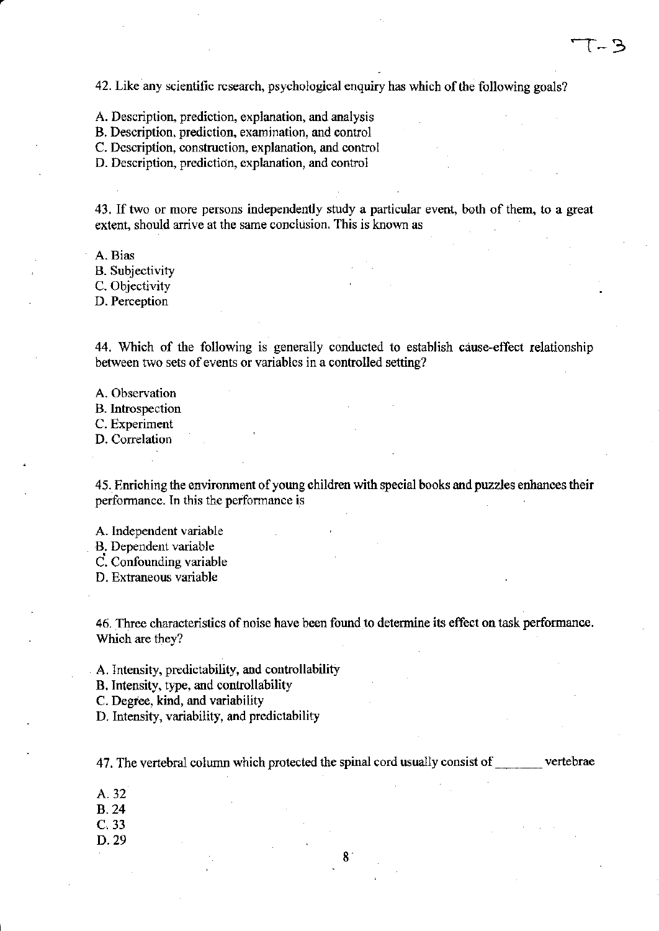42. Like any scientific research, psychological enquiry has which of the following goals?

A. Description, prediction, explanation, and analysis

B. Description, prediction, examination, and control

C. Description, construction, explanation, and control

D. Description, prediction, explanation, and control

43. If two or more persons independently study a particular event, both of them, to a great extent, should arrive at the same conclusion. This is known as

A. Bias B. Subjectivity C. Objectivity

D. Perception

44. Which of the following is generally conducted to establish cause-effect relationship between two sets of events or variables in a controlled setting?

A. Observation

B. Introspection

C. Experiment

D. Correlation

45. Enriching the environment of young children with special books and puzzles enhances their performance. In this the performance is

A. Independent variable

B. Dependent variable

C. Confounding variable

D. Extraneous variable

46. Three characteristics of noise have been found to determine its effect on task performance. Which are they?

A. Intensity, predictability, and controllability

B. Intensity, type, and controllability

C. Degree, kind, and variability

D. Intensity, variability, and predictability

47. The vertebral column which protected the spinal cord usually consist of vertebrae

- A.32
- B.24
- C.33
- D.29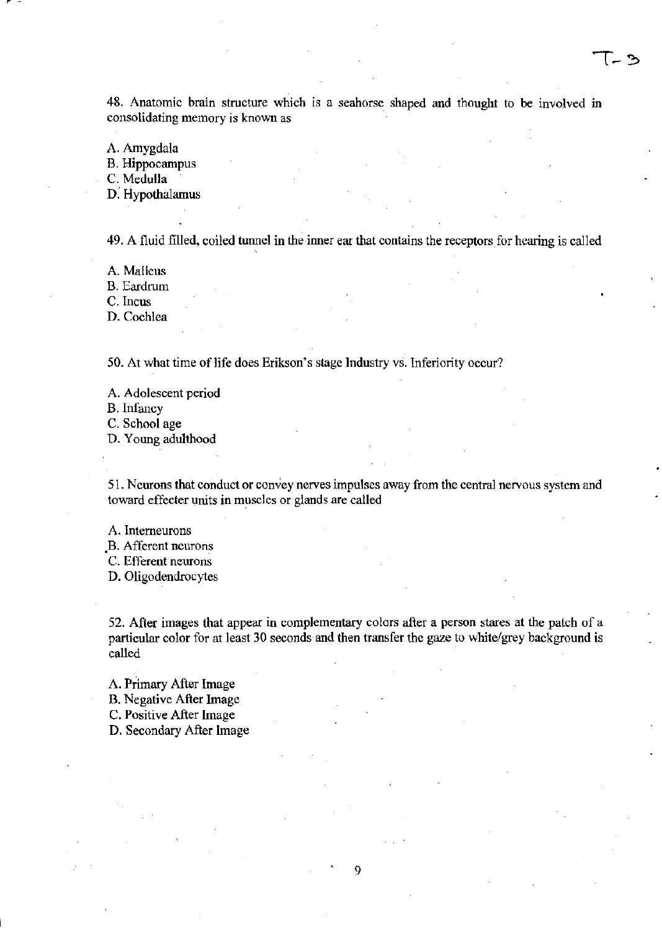48. Anatomic brain structure which is a seahorse shaped and thought to be involved in consolidating memory is known as

A. Amygdala

B. Hippocampus

C. Medulla

r-

D: Hypothalamus

49. A fluid filled, coiled tunnel in the inner ear that contains the receptors for hearing is called

A. Malleus

B. Eardrum

C. Incus

D. Cochlea

50. At what time of life does Erikson's stage Industry vs. Inferiority occur?

A. Adolescent period

B.Infaucy

C. School age

D. Young adulthood

51. Neurons that conduct or convey nerves impulses away from the central nervous system and toward effecter units in muscles or glands are called

A. Intemeurons

.B. Afferent neurons

C. Efferent neurons

D. Oligodendrocytes

52. After images that appear in complementary colors after a person stares at the patch of a particular color for at least 30 seconds and then transfer the gaze to white/grey background is called

9

A. Primary After Image

B. Negative After Image

C. Positive After Image

D. Secondary After Image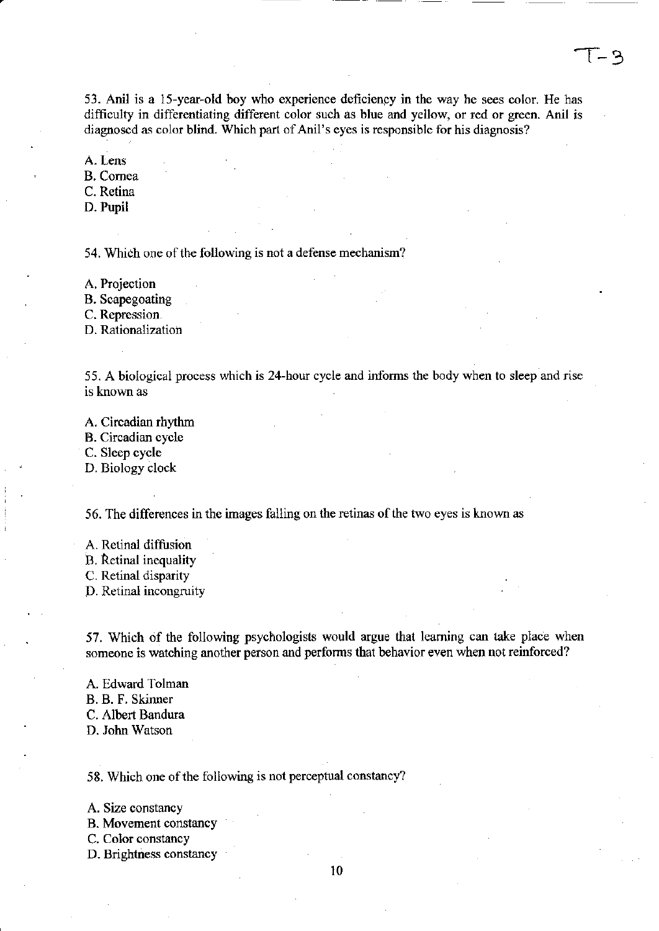53. Anil is a 15-year-old boy who experience deficiency in the way he sees color. He has difficulty in differentiating different color such as blue and yellow, or red or green. Anil is diagnosed as color blind. Which part of Anil's eyes is responsible for his diagnosis?

A. Lens

B. Cornea

C. Retina

D. Pupil

54. Which one of the following is not a defense mechanism?

A. Projection

B. Scapegoating

C. Repression

D. Rationalization

55. A biological process which is 24-hour cycle and informs the body when to sleep and rise is known as

A. Circadian rhythm

B. Circadian cycle

C. Sleep cycle

D. Biology clock

56. The differences in the images falling on the retinas of the two eyes is known as

A. Retinal diffusion B. ketinal inequality C. Retinal disparity D. Retinal incongruity

57. Which of the following psychologists would argue that learning can take place when someone is watching another person and performs that behavior even when not reinforced?

A. Edward Tolman B. B. F. Skinner C. Albert Bandura D. John Watson

58. Which one of the following is not perceptual constancy?

A. Size constancy

B. Movement constancy

C. Color constancy

D. Brightness constancy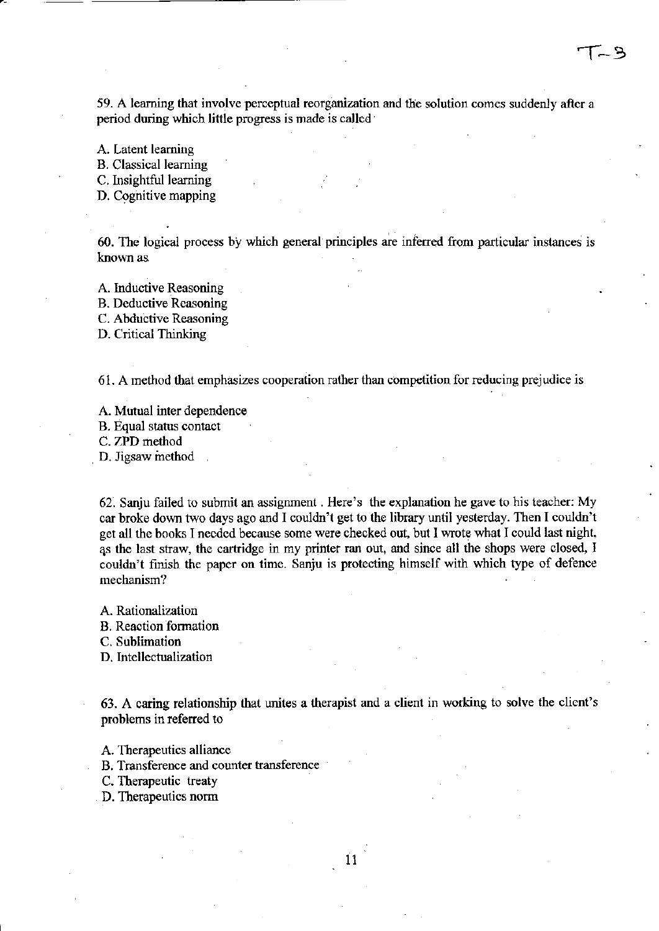59. A learning that involve perceptual reorganization and the solution comes suddenly after a period during which little progress is made is called'

A. Latent learning

B. Classical learning

C. Insightful learning

D. Cognitive mapping

 $60.$  The logical process by which general principles are inferred from particular instances is known as.

A. Inductive Reasoning B. Deductive Reasoning C. Abductive Reasoning

D. Critical Thinking

61. A method that emphasizes cooperation rather than competition for reducing prejudice is

A. Mutual inter dependence

B. Equal status contact

C. ZPD method

D. Jigsaw method

62. Sanju failed to submit an assignment. Here's the explanation he gave to his teacher: My car broke down two days ago and I couldn't get to the library until yesterday. Then I couldn't get all the books I needed because some were checked out, but I wrote what I could last night, as the last straw, the cartridge in my printer ran out, and since all the shops were closed, I couldn't finish the paper on time. Sanju is protecting himself with which type of defence mechanism?

A. Rationalization

B. Reaction fonnation

C. Sublimation

D. Intellectualization

63. A caring relationship that unites a therapist and a client in working to solve the client's problems in referred to

A. Therapeutics alliance

B. Transference and counter transference

C. Therapeutic treaty

D. Therapeutics norm

11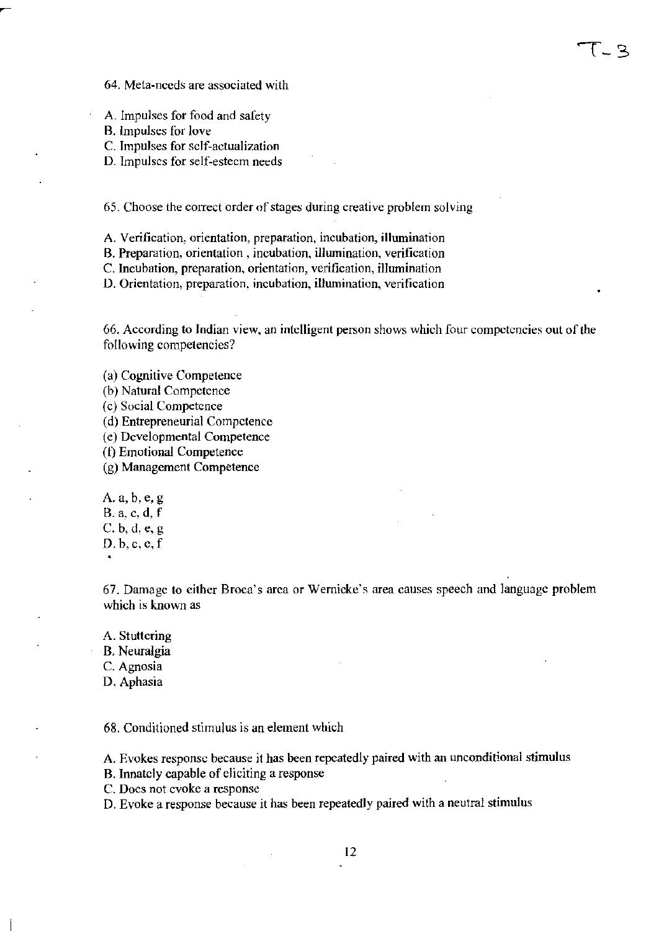64. Meta-needs are associated with

A. Impulses for food and safety

B. lmpulses for love

C. Impulses for self-actualization

D. Impulses for self-esteem needs

65. Choose the correct order of stages during creative problem solving

A. Verification, orientation, preparation, incubation, illumination

B. Preparation, orientation, incubation, illumination, verification

C. Incubation, preparation, orientation, verification, illumination

D. Orientation, preparation. incubation, illumination, verification

66. According to Indian view, an intclligent person shows which four competencies out of the following competencies?

(a) Cognitive Competence

(b) Natural Competence

(c) Social Competence

(d) Entrepreneurial Competence

(e) Developmental Competence

(1) Emotional Competence

(g) Management Competence

A. a, b,e, g B. a, c, d, f C. b, d, e, g D.b,c,c,f

67. Damage to either Broca's area or Wernicke's area causes speech and language problem which is known as

A. Stuttering

B. Neuralgia

C. Agnosia

D. Aphasia

68. Conditioned stimulus is an element which

A. Evokes response because it has been repeatedly paired with an unconditional stimulus

B. Innately capable of eliciting a response

C. Does not evoke a response

D. Evoke a response because it has been repeatedly paired with a neutral stimulus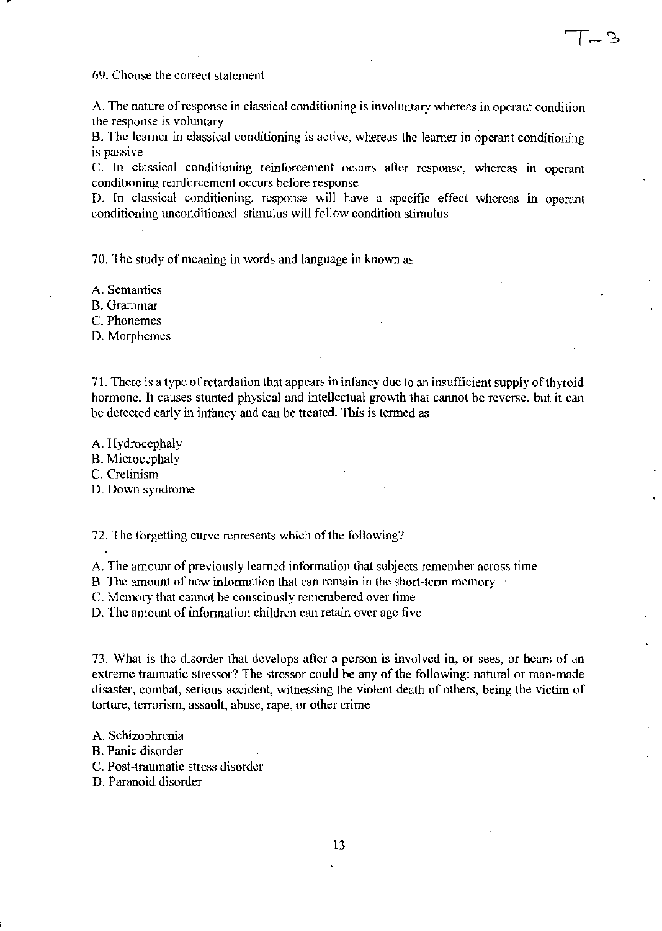69. Choose the correct statement

A. The nature ofrcsponse in classical conditioning is involuntary whereas in operant condition the response is voluntary

 $\sim$ 

B. The learner in classical conditioning is active, whereas the learner in operant conditioning is passive

C. In classical conditioning reinforcement occurs after response, whereas in operant conditioning reinforcement occurs before response

D. In classical conditioning, response will have a specific effect whereas in operant conditioning unconditioned stimulus will follow condition stimulus

70. The study of meaning in words and language in known as

A. Semantics

B. Grammar

C. Phonemcs

D. Morphemes

71. There is a typc of retardation that appears in infancy due to an insufficient supply of thyroid hormone. It causes stunted physical and intellectual growth that cannot be reverse, but it can be detected early in infancy and can be treated. This is termed as

A. Hydrocephaly

B. Microcephaly

C. Cretinism

D. Down syndrome

72. Thc forgetting curve represents which of the following?

A. The amount of previously learned information that subjects remember across time

B. The amount of new information that can remain in the short-term memory

C. Memory that cannot be consciously remembered over time

D. Thc amount of information children can retain over age five

73. What is the disorder that develops after a person is involved in, or sees, or hears of an extreme traumatic stressor? The stressor could be any of the following: natural or man-made disaster, combat, serious accident, witnessing the violent death of others, being the victim of torture, terrorism, assault, abuse, rape, or other crime

A. Schizophrenia

B. Panic disorder

C. Post-traumatic stress disorder

D. Paranoid disorder

13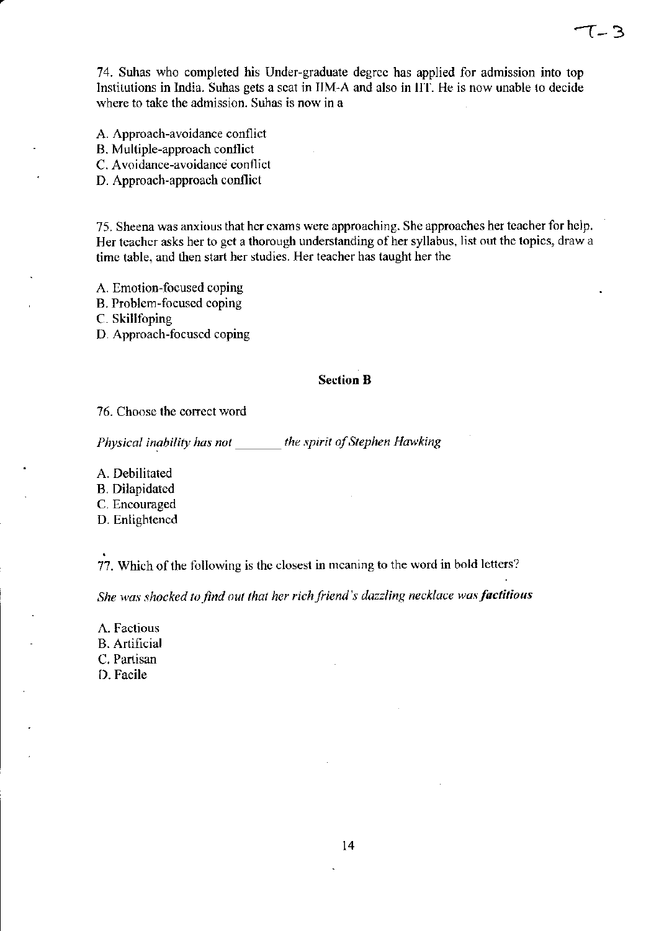74. Suhas who completed his Under-graduate degree has applied for admission into top Institutions in India. Suhas gets a scat in IIM-A and also in lIT. He is now unable to decide where to take the admission. Suhas is now in a

'l-3

- A. Approach-avoidance conflict
- B. Multiple-approach contliet
- C. A voidance-avoidance conflict
- D. Approach-approach conflict

75. Sheena was anxious that her exams were approaching. She approaches her teacher for help. Her tcacher asks her to get a thorough understanding of her syllabus, list out the topics, draw a time table, and then start her studies. Her tcacher has taught her the

- A. Emotion-focused coping
- B. Problem-focused coping

C. Skillfoping

D. Approach-focused coping

#### Section B

76. Choose the correct word

*Physical inability has not* \_\_\_\_\_\_\_ *the spirit of Stephen Hawking* 

A. Debilitated

B. Dilapidated

C. Encouraged

D. Enlightened

77. Which of the following is the closest in meaning to the word in bold letters?

She was shocked to find out that her rich friend's dazzling necklace was factitious

A. Factious B. Artificial C. Partisan D. Facile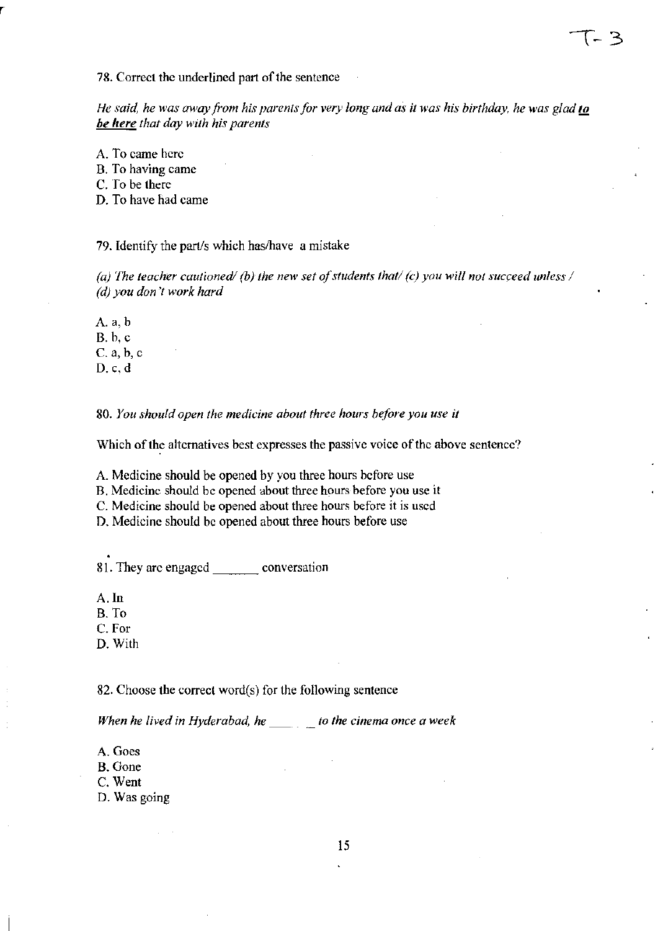78. Correct the underlined part of the sentence

*He said, he was away from his parents for very long and as it was his birthday, he was glad to be here that day with his parents* 

A. To came here

B. To having came

C. To be there

D. To have had came

79. Identify the part/s which has/have a mistake

(a) The teacher cautioned/ (b) the new set of students that/ (c) you will not succeed unless / *(d) you don* 'f *work hard* 

Aa,b B. b, c C. a, b, c D.c.d

*80. You should open the medicine about three hours hefore you use it* 

Which of the alternatives best expresses the passive voice of the above sentence?

A. Medicine should be opened by you three hours before use

B. Medicine should be opened about three hours before you use it

C. Medicine should be opened about three hours before it is used

D. Medicine should be opened about three hours before use

81. They are engaged conversation

A. In

B. To

C.For

D. With

82. Choose the correct word(s) for the following sentence

*When he lived in Hyderabad, he\_ to the cinema once a week* 

A. Goes

B. Gone

C. Went

D. Was going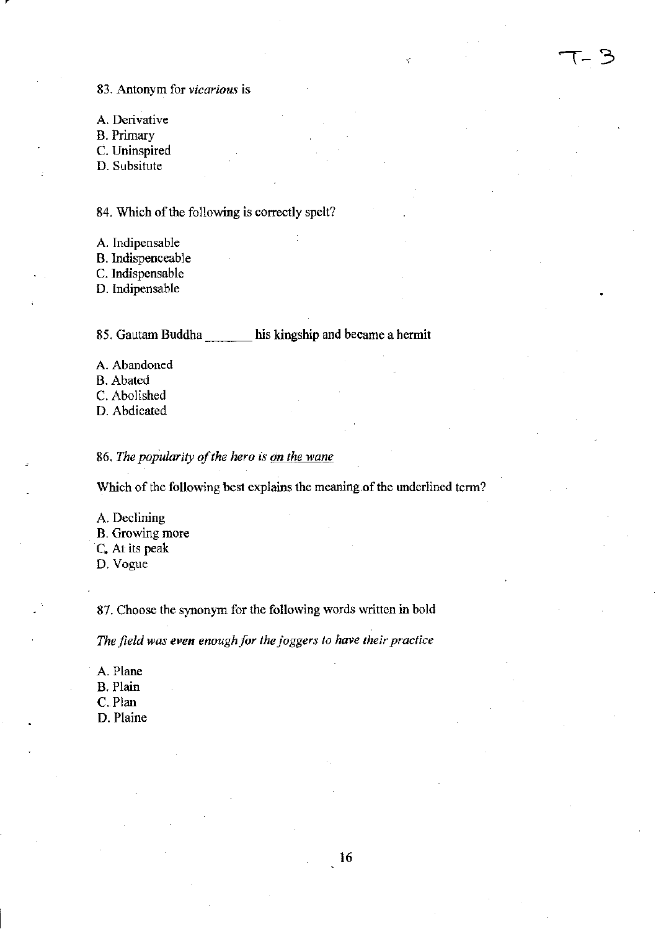83. Antonym for *vicarious* is

A. Derivative B. Primary C. Uninspired

D. Subsitute

84. Which of the following is correctly spclt?

A. Indipensable

B. Indispenceable

C. Indispensable

D. Indipensable

85. Gautam Buddha \_\_\_ his kingship and became a hermit

 $-3$ 

A. Abandoned B. Abated

C. Abolished

D. Abdicated

86. The popularity of the hero is on the wane

Which of the following best explains the meaning of the underlined term?

- A. Declining B. Growing more
- C. At its peak
- D. Vogue

87. Choose the synonym for the following words written in bold

*The field was even enough for the joggers to have their practice* 

A. Plane

- B. Plain
- C.Plan

D. Plaine

16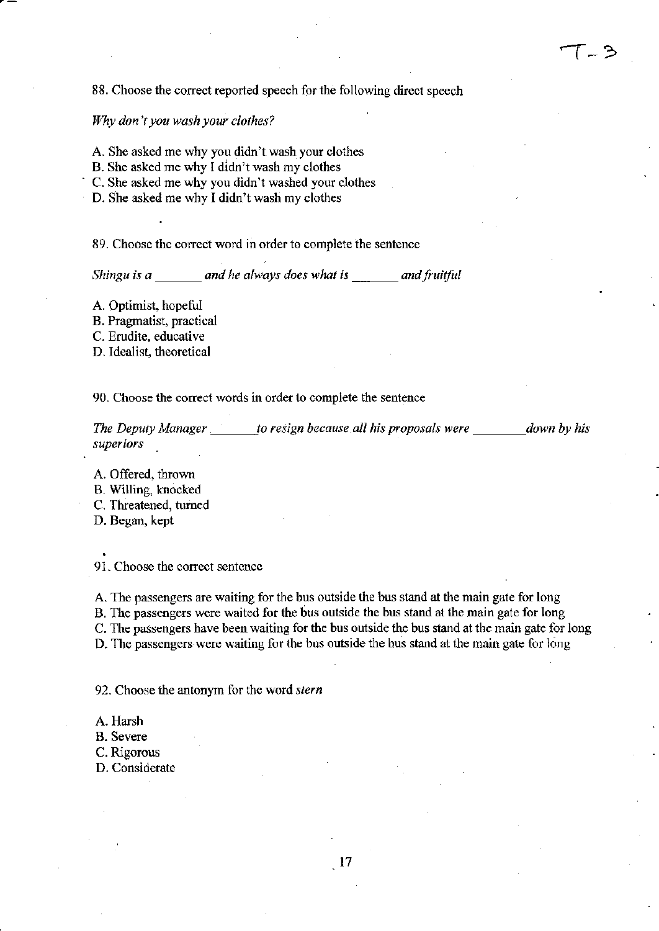### 88. Choose the correct reported speech for the following direct speech

#### *Why don't you wash your clothes?*

- A. She asked me why you didn't wash your clothes
- B. She asked me why I didn't wash my clothes
- C. She asked me why you didn't washed your clothes
- D. She asked me why I didn't wash my clothes

89. Choose the correct word in order to complete the sentence

*Shingu is a* \_\_\_ *and he always does what is \_\_\_ and fruitful* 

A. Optimist, hopeful

B. Pragmatist, practical

C. Erudite, educative

D. Idealist, theoretical

90. Choose the correct words in order to complete the sentence

*The Deputy Manager is to resign because all his proposals were down by his superiors* 

A. Offered, thrown B. Willing, knocked C. Threatened, turned D. Began, kept

91. Choose the correct sentence

A. The passengers are waiting for the bus outside the bus stand at the main gate for long B. The passengers were waited for the bus outside the bus stand at the main gate for long C. The passengers have been waiting for the bus outside the bus stand at the main gate for long D. The passengers were waiting for the bus outside the bus stand at the main gate for long

92. Choose the antonym for the word *stern* 

A. Harsh

B. Severe

C. Rigorous

D. Considerate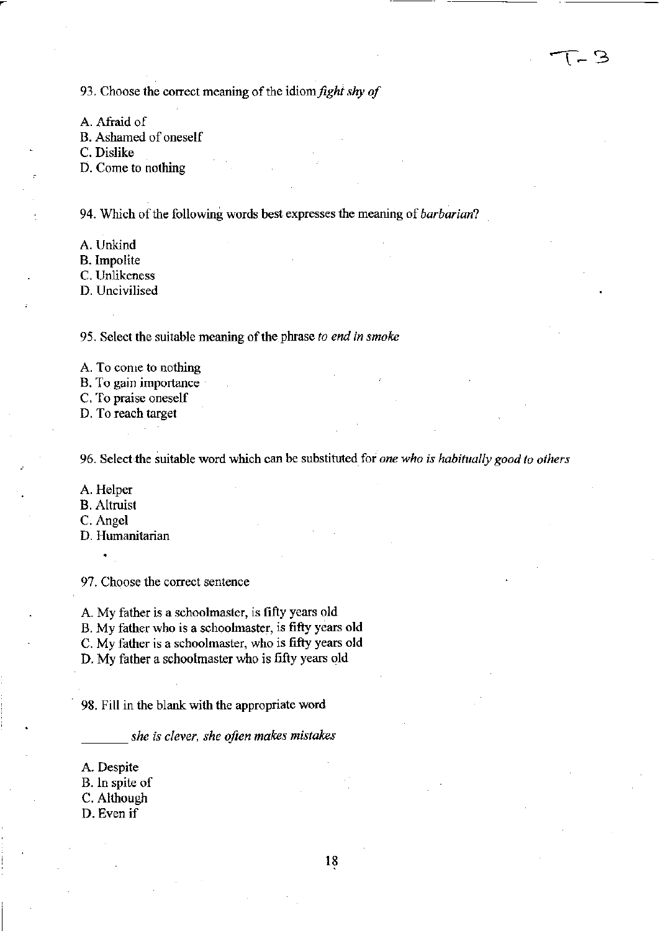93. Choose the correct meaning of the idiom *fight shy of* 

A. Afraid of

B. Ashamed of oneself

C. Dislike

D. Come to nothing

94. Which of the following words best expresses the meaning of *barbarian?* 

- A. Unkind
- B. Impolite

C. Unlikeness

D. Uncivilised

95. Select the suitable meaning of the phrase *to end in smoke* 

A. To come to nothing

B. To gain importance

C. To praise oneself

D. To reach target

96. Select-the suitable word which can be substituted for *one who is habitually good to others* 

A. Helper

- B. Altruist
- C. Angel
- D. Humanitarian

97. Choose the correct sentence

A. My father is a schoolmaster, is fifty years old

B. My father who is a schoolmaster, is fifty years old

C. My father is a schoolmaster, who is fifty years old

D. My father a schoolmaster who is fifty years old

9S. Fill in the blank with the appropriate word

\_\_\_ *she is clever, she often makes mistakes* 

A. Despite

B. In spite of

C. Although

D. Even if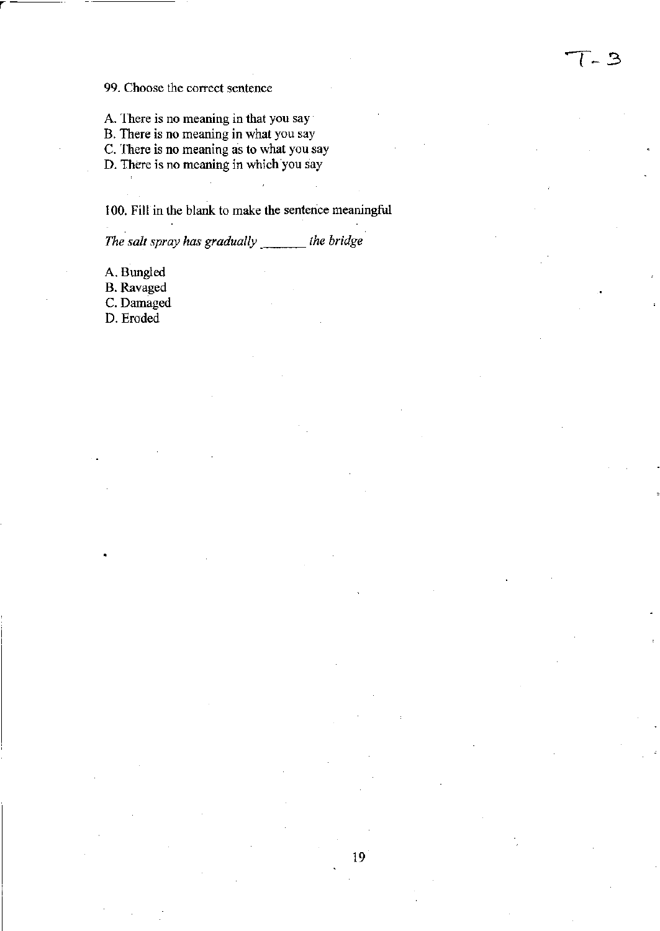#### 99. Choose the correct sentence

A. There is no meaning in that you say

B. There is no meaning in what you say

C. There is no meaning as to what you.say

D. There is no meaning in which you say

100. Fill in the blank to make the sentence meaningful

- 3

*The salt spray has gradually* \_\_\_\_\_\_ *the bridge* 

A. Bungled

r---

B. Ravaged

C. Damaged

D. Eroded